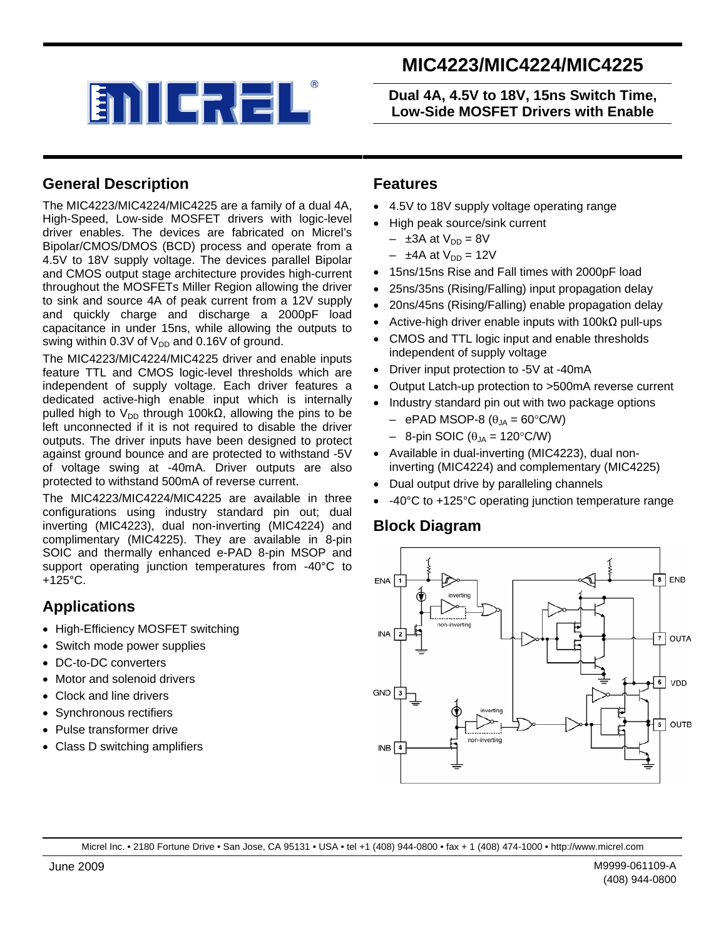

# **MIC4223/MIC4224/MIC4225**

**Dual 4A, 4.5V to 18V, 15ns Switch Time, Low-Side MOSFET Drivers with Enable** 

### **General Description**

The MIC4223/MIC4224/MIC4225 are a family of a dual 4A, High-Speed, Low-side MOSFET drivers with logic-level driver enables. The devices are fabricated on Micrel's Bipolar/CMOS/DMOS (BCD) process and operate from a 4.5V to 18V supply voltage. The devices parallel Bipolar and CMOS output stage architecture provides high-current throughout the MOSFETs Miller Region allowing the driver to sink and source 4A of peak current from a 12V supply and quickly charge and discharge a 2000pF load capacitance in under 15ns, while allowing the outputs to swing within 0.3V of  $V_{DD}$  and 0.16V of ground.

The MIC4223/MIC4224/MIC4225 driver and enable inputs feature TTL and CMOS logic-level thresholds which are independent of supply voltage. Each driver features a dedicated active-high enable input which is internally pulled high to V<sub>DD</sub> through 100kΩ, allowing the pins to be left unconnected if it is not required to disable the driver outputs. The driver inputs have been designed to protect against ground bounce and are protected to withstand -5V of voltage swing at -40mA. Driver outputs are also protected to withstand 500mA of reverse current.

The MIC4223/MIC4224/MIC4225 are available in three configurations using industry standard pin out; dual inverting (MIC4223), dual non-inverting (MIC4224) and complimentary (MIC4225). They are available in 8-pin SOIC and thermally enhanced e-PAD 8-pin MSOP and support operating junction temperatures from -40°C to  $+125^{\circ}$ C.

#### **Applications**

- High-Efficiency MOSFET switching
- Switch mode power supplies
- DC-to-DC converters
- Motor and solenoid drivers
- Clock and line drivers
- Synchronous rectifiers
- Pulse transformer drive
- Class D switching amplifiers

#### **Features**

- 4.5V to 18V supply voltage operating range
- High peak source/sink current
	- $-$  ±3A at  $V_{DD} = 8V$
	- $-$  ±4A at  $V_{DD} = 12V$
- 15ns/15ns Rise and Fall times with 2000pF load
- 25ns/35ns (Rising/Falling) input propagation delay
- 20ns/45ns (Rising/Falling) enable propagation delay
- Active-high driver enable inputs with  $100kΩ$  pull-ups
- CMOS and TTL logic input and enable thresholds independent of supply voltage
- Driver input protection to -5V at -40mA
- Output Latch-up protection to >500mA reverse current
- Industry standard pin out with two package options
	- $-$  ePAD MSOP-8 ( $\theta_{JA} = 60^{\circ}$ C/W)
	- $-$  8-pin SOIC ( $\theta_{JA} = 120^{\circ}$ C/W)
- Available in dual-inverting (MIC4223), dual noninverting (MIC4224) and complementary (MIC4225)
- Dual output drive by paralleling channels
- -40°C to +125°C operating junction temperature range

#### **Block Diagram**



Micrel Inc. • 2180 Fortune Drive • San Jose, CA 95131 • USA • tel +1 (408) 944-0800 • fax + 1 (408) 474-1000 • http://www.micrel.com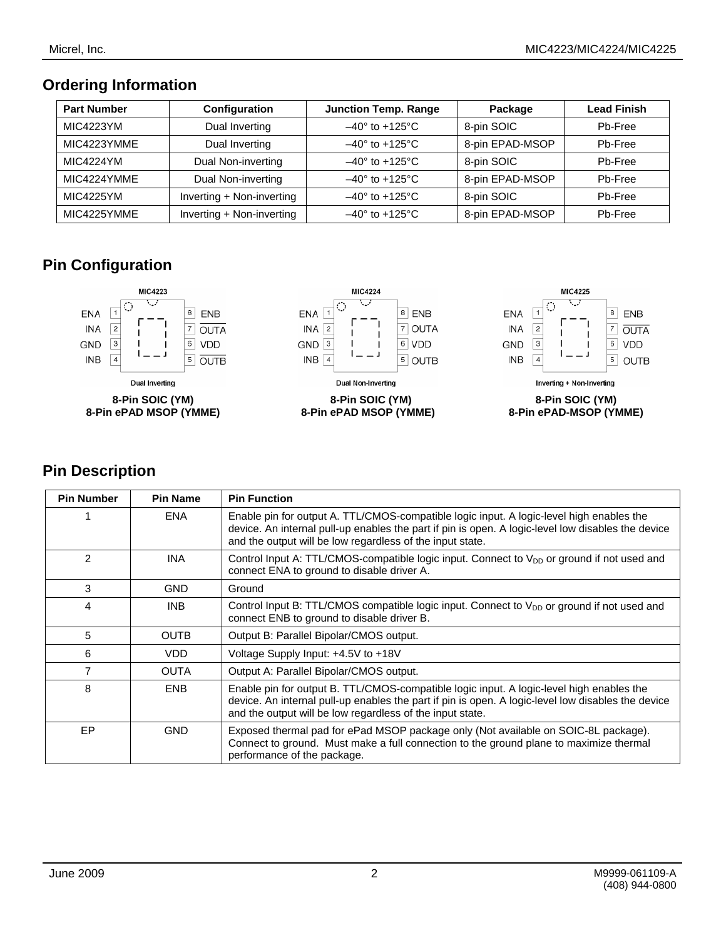### **Ordering Information**

| <b>Part Number</b> | Configuration             | <b>Junction Temp. Range</b>    | Package         | <b>Lead Finish</b> |
|--------------------|---------------------------|--------------------------------|-----------------|--------------------|
| <b>MIC4223YM</b>   | Dual Inverting            | $-40^\circ$ to +125 $^\circ$ C | 8-pin SOIC      | Pb-Free            |
| MIC4223YMME        | Dual Inverting            | $-40^\circ$ to +125 $^\circ$ C | 8-pin EPAD-MSOP | Pb-Free            |
| <b>MIC4224YM</b>   | Dual Non-inverting        | $-40^\circ$ to $+125^\circ$ C  | 8-pin SOIC      | Pb-Free            |
| MIC4224YMME        | Dual Non-inverting        | $-40^\circ$ to $+125^\circ$ C  | 8-pin EPAD-MSOP | Pb-Free            |
| <b>MIC4225YM</b>   | Inverting + Non-inverting | $-40^\circ$ to $+125^\circ$ C  | 8-pin SOIC      | Pb-Free            |
| MIC4225YMME        | Inverting + Non-inverting | $-40^\circ$ to +125 $^\circ$ C | 8-pin EPAD-MSOP | Pb-Free            |

## **Pin Configuration**



### **Pin Description**

| <b>Pin Number</b> | <b>Pin Name</b> | <b>Pin Function</b>                                                                                                                                                                                                                                         |
|-------------------|-----------------|-------------------------------------------------------------------------------------------------------------------------------------------------------------------------------------------------------------------------------------------------------------|
|                   | <b>ENA</b>      | Enable pin for output A. TTL/CMOS-compatible logic input. A logic-level high enables the<br>device. An internal pull-up enables the part if pin is open. A logic-level low disables the device<br>and the output will be low regardless of the input state. |
| $\mathfrak{p}$    | <b>INA</b>      | Control Input A: TTL/CMOS-compatible logic input. Connect to V <sub>DD</sub> or ground if not used and<br>connect ENA to ground to disable driver A.                                                                                                        |
| 3                 | <b>GND</b>      | Ground                                                                                                                                                                                                                                                      |
| 4                 | <b>INB</b>      | Control Input B: TTL/CMOS compatible logic input. Connect to $V_{DD}$ or ground if not used and<br>connect ENB to ground to disable driver B.                                                                                                               |
| 5                 | <b>OUTB</b>     | Output B: Parallel Bipolar/CMOS output.                                                                                                                                                                                                                     |
| 6                 | <b>VDD</b>      | Voltage Supply Input: +4.5V to +18V                                                                                                                                                                                                                         |
|                   | <b>OUTA</b>     | Output A: Parallel Bipolar/CMOS output.                                                                                                                                                                                                                     |
| 8                 | <b>ENB</b>      | Enable pin for output B. TTL/CMOS-compatible logic input. A logic-level high enables the<br>device. An internal pull-up enables the part if pin is open. A logic-level low disables the device<br>and the output will be low regardless of the input state. |
| <b>EP</b>         | <b>GND</b>      | Exposed thermal pad for ePad MSOP package only (Not available on SOIC-8L package).<br>Connect to ground. Must make a full connection to the ground plane to maximize thermal<br>performance of the package.                                                 |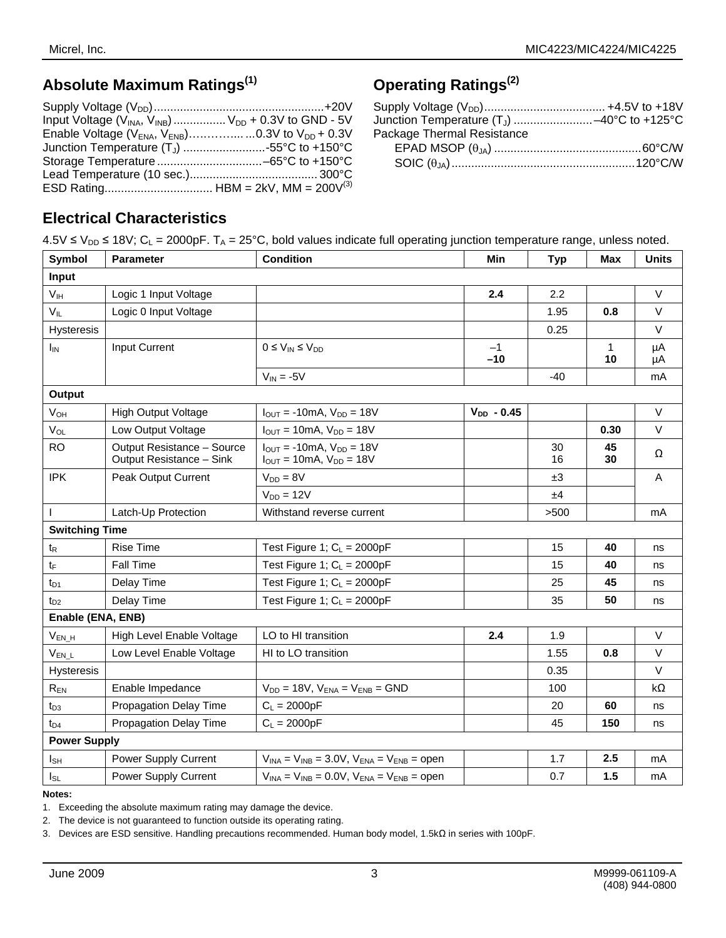# **Absolute Maximum Ratings(1)**

| Input Voltage $(V_{\text{INA}}, V_{\text{INB}})$ $V_{\text{DD}} + 0.3V$ to GND - 5V |  |
|-------------------------------------------------------------------------------------|--|
| Enable Voltage ( $V_{ENA}$ , $V_{ENB}$ )0.3V to $V_{DD}$ + 0.3V                     |  |
| Junction Temperature $(T_J)$ 55°C to +150°C                                         |  |
|                                                                                     |  |
|                                                                                     |  |
|                                                                                     |  |

# **Operating Ratings(2)**

| Junction Temperature $(T_J)$ -40°C to +125°C |
|----------------------------------------------|
|                                              |
|                                              |
|                                              |
|                                              |

### **Electrical Characteristics**

| $4.5V \le V_{DD} \le 18V$ ; C <sub>L</sub> = 2000pF. T <sub>A</sub> = 25°C, bold values indicate full operating junction temperature range, unless noted. |  |  |
|-----------------------------------------------------------------------------------------------------------------------------------------------------------|--|--|
|-----------------------------------------------------------------------------------------------------------------------------------------------------------|--|--|

| Symbol                | <b>Parameter</b>                                       | <b>Condition</b><br>Min                                              |                 | <b>Typ</b> | <b>Max</b> | <b>Units</b> |
|-----------------------|--------------------------------------------------------|----------------------------------------------------------------------|-----------------|------------|------------|--------------|
| Input                 |                                                        |                                                                      |                 |            |            |              |
| V <sub>IH</sub>       | Logic 1 Input Voltage                                  |                                                                      | 2.4             | 2.2        |            | $\vee$       |
| $V_{IL}$              | Logic 0 Input Voltage                                  |                                                                      |                 | 1.95       | 0.8        | $\vee$       |
| <b>Hysteresis</b>     |                                                        |                                                                      |                 | 0.25       |            | $\vee$       |
| $I_{IN}$              | Input Current                                          | $0 \leq V_{IN} \leq V_{DD}$                                          | $-1$<br>$-10$   |            | 1<br>10    | μA<br>μA     |
|                       |                                                        | $V_{IN} = -5V$                                                       |                 | $-40$      |            | mA           |
| Output                |                                                        |                                                                      |                 |            |            |              |
| $V_{OH}$              | <b>High Output Voltage</b>                             | $I_{\text{OUT}} = -10 \text{mA}$ , $V_{\text{DD}} = 18 \text{V}$     | $V_{DD} - 0.45$ |            |            | $\vee$       |
| $V_{OL}$              | Low Output Voltage                                     | $I_{OUT} = 10mA$ , $V_{DD} = 18V$                                    |                 |            | 0.30       | $\vee$       |
| <b>RO</b>             | Output Resistance - Source<br>Output Resistance - Sink | $I_{OUT} = -10mA$ , $V_{DD} = 18V$<br>$I_{OUT} = 10mA, V_{DD} = 18V$ |                 | 30<br>16   | 45<br>30   | Ω            |
| <b>IPK</b>            | Peak Output Current                                    | $V_{DD} = 8V$                                                        |                 | ±3         |            | A            |
|                       |                                                        | $V_{DD} = 12V$                                                       |                 | ±4         |            |              |
| I.                    | Latch-Up Protection                                    | Withstand reverse current                                            |                 | >500       |            | mA           |
| <b>Switching Time</b> |                                                        |                                                                      |                 |            |            |              |
| $t_{\mathsf{R}}$      | <b>Rise Time</b>                                       | Test Figure 1; $C_L = 2000pF$                                        |                 | 15         | 40         | ns           |
| $t_{\text{F}}$        | Fall Time                                              | Test Figure 1; $C_L = 2000pF$                                        |                 | 15         | 40         | ns           |
| $t_{D1}$              | Delay Time                                             | Test Figure 1; $C_L = 2000pF$                                        |                 | 25         | 45         | ns           |
| $t_{D2}$              | Delay Time                                             | Test Figure 1; $C_L = 2000pF$                                        |                 | 35         | 50         | ns           |
| Enable (ENA, ENB)     |                                                        |                                                                      |                 |            |            |              |
| $V_{EN_H}$            | High Level Enable Voltage                              | LO to HI transition                                                  | 2.4             | 1.9        |            | $\vee$       |
| $V_{EN\_L}$           | Low Level Enable Voltage                               | HI to LO transition                                                  |                 | 1.55       | 0.8        | $\vee$       |
| <b>Hysteresis</b>     |                                                        |                                                                      |                 | 0.35       |            | $\vee$       |
| $R_{EN}$              | Enable Impedance                                       | $V_{DD} = 18V$ , $V_{ENA} = V_{ENB} = GND$                           |                 | 100        |            | $k\Omega$    |
| t <sub>D3</sub>       | Propagation Delay Time                                 | $C_L = 2000pF$                                                       |                 | 20         | 60         | ns           |
| t <sub>D4</sub>       | Propagation Delay Time                                 | $C_L = 2000pF$                                                       |                 | 45         | 150        | ns           |
| <b>Power Supply</b>   |                                                        |                                                                      |                 |            |            |              |
| $I_{SH}$              | Power Supply Current                                   | $V_{INA} = V_{INB} = 3.0 V$ , $V_{ENA} = V_{ENB} = open$             |                 | 1.7        | 2.5        | mA           |
| $I_{SL}$              | Power Supply Current                                   | $V_{INA} = V_{INB} = 0.0 V$ , $V_{ENA} = V_{ENB} = open$             |                 | 0.7        | 1.5        | mA           |

#### **Notes:**

1. Exceeding the absolute maximum rating may damage the device.

2. The device is not guaranteed to function outside its operating rating.

3. Devices are ESD sensitive. Handling precautions recommended. Human body model, 1.5kΩ in series with 100pF.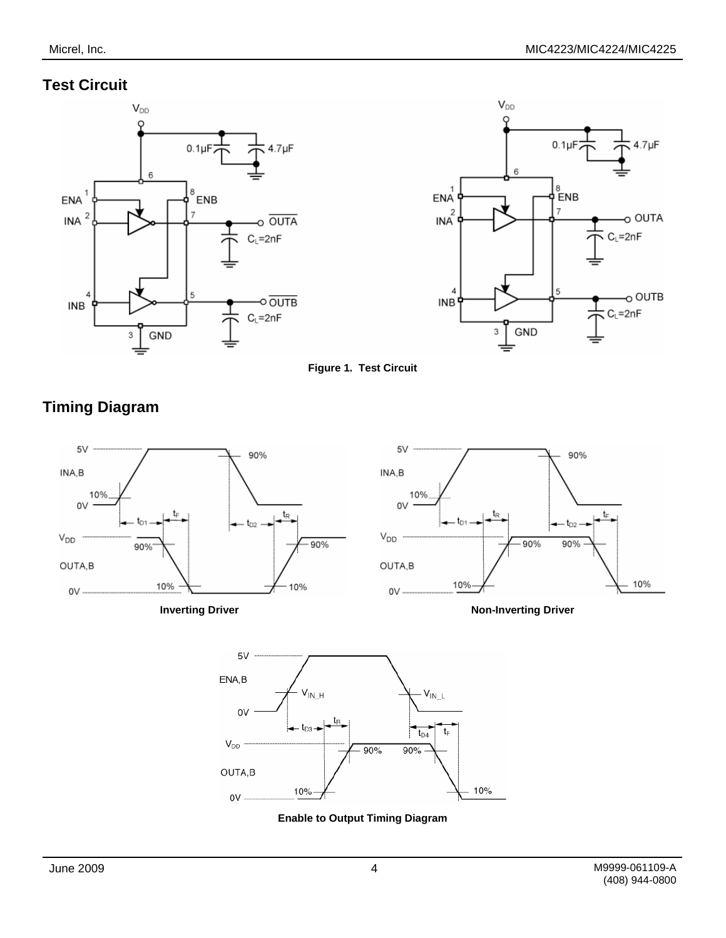### **Test Circuit**

**Timing Diagram** 







 $5\vee$  $5\vee$ 90% 90% INA, B INA,B 10% 10% 0V 0V  $t_{\mathsf{R}}$ t  $t_{D2}$  $t_{D2}$  $V_{DD}$  $V_{DD}$  $-90%$  $-90%$ 90% 90% OUTA,B OUTA,B 10% 10% 10% 10%  $0V 0V -$ **Inverting Driver** Non-Inverting Driver  $5V$ ENA,B  $\mathsf{V}_{\mathsf{IN\_L}}$ V<sub>IN H</sub> 0V  $t_{\rm B}$  $t_{D3}$ 



10%

90%

 $V_{DD}$ 

OUTA,B

 $0V -$ 

t,  $t_{D4}$ 

10%

90%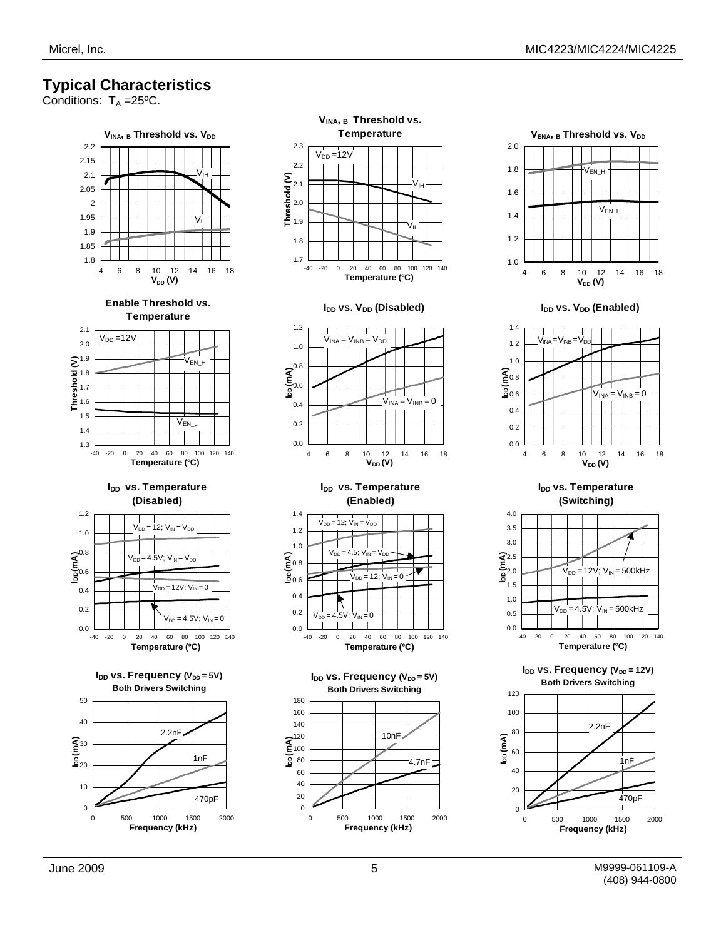### **Typical Characteristics**

Conditions:  $T_A = 25^{\circ}C$ .







**I<sub>DD</sub> vs. V<sub>DD</sub>** (Enabled)



**I<sub>DD</sub>** vs. Temperature **(Switching)**



I<sub>DD</sub> vs. Frequency (V<sub>DD</sub> = 12V) **Both Drivers Switching** 

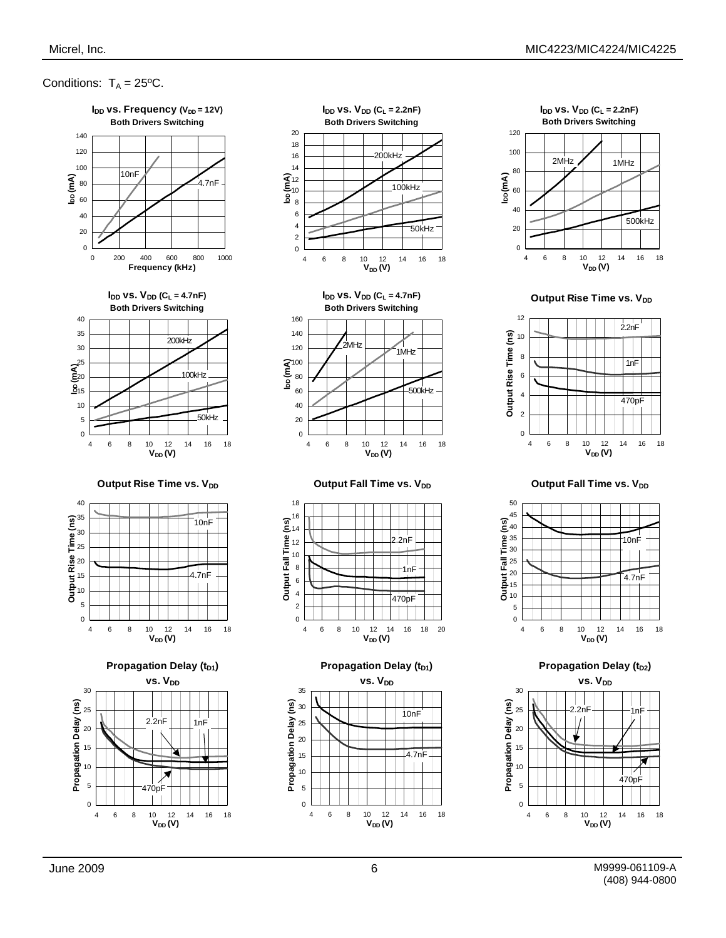#### Conditions:  $T_A = 25^{\circ}C$ .





 $I_{DD}$  vs.  $V_{DD}$  (C<sub>L</sub> = 2.2nF) **Both Drivers Switching** 

18 20



**Output Rise Time vs. VDD** 



**Output Fall Time vs. V<sub>DD</sub>** 



**Propagation Delay (t<sub>D2</sub>)** 



4 6 8 10 12 14 16 18 10 12<br>**V<sub>DD</sub>(V)** 

¥

П

470pl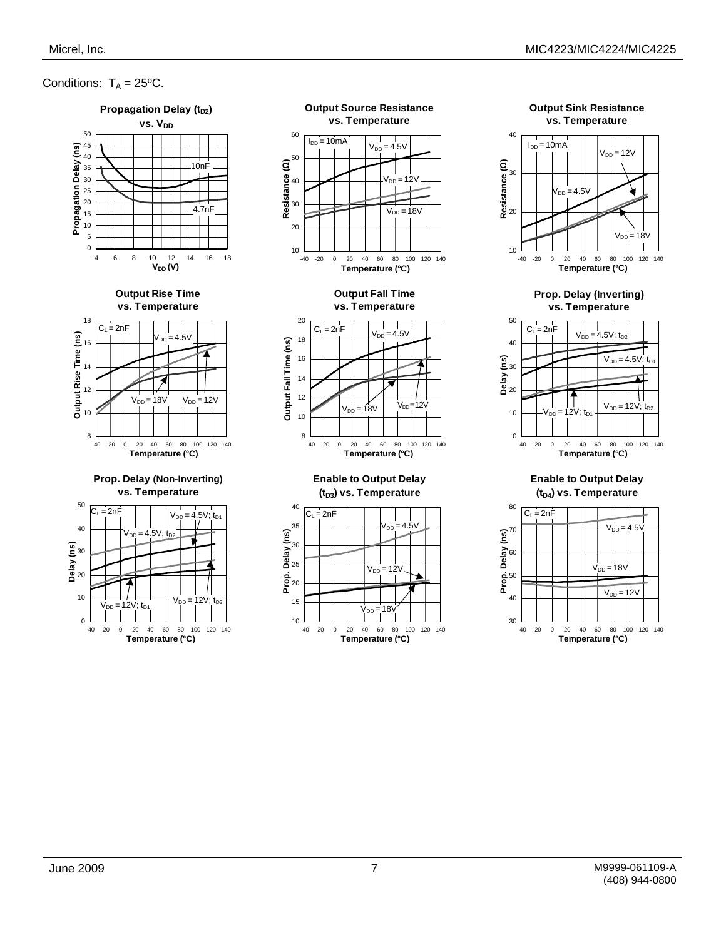**Output Sink Resistance vs. Temperature**

#### Conditions:  $T_A = 25^{\circ}C$ .



-40 -20 0 20 40 60 80 100 120 140 **Temperature (°C)**





**(tD4) vs. Temperature**



 $0 - 40$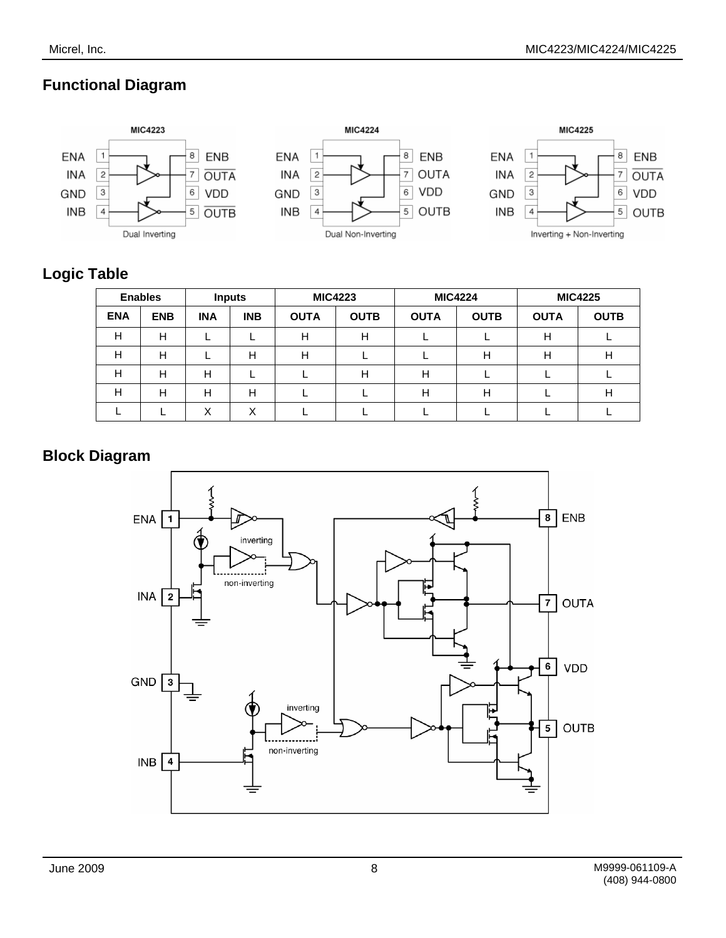### **Functional Diagram**





### **Logic Table**

| <b>Enables</b> |            | <b>Inputs</b> |            | <b>MIC4223</b> |             | <b>MIC4224</b> |             | <b>MIC4225</b> |             |
|----------------|------------|---------------|------------|----------------|-------------|----------------|-------------|----------------|-------------|
| <b>ENA</b>     | <b>ENB</b> | <b>INA</b>    | <b>INB</b> | <b>OUTA</b>    | <b>OUTB</b> | <b>OUTA</b>    | <b>OUTB</b> | <b>OUTA</b>    | <b>OUTB</b> |
| н              | Н          |               |            | н              | н           |                |             | н              |             |
| н              | Н          |               | Н          | н              |             |                | Н           | н              | H           |
| н              | Н          | н             |            |                | H           | н              |             |                |             |
| Н              | Н          | н             | Н          |                |             | н              | H           |                | н           |
|                |            | Χ             | ⋏          |                |             |                |             |                |             |

#### **Block Diagram**

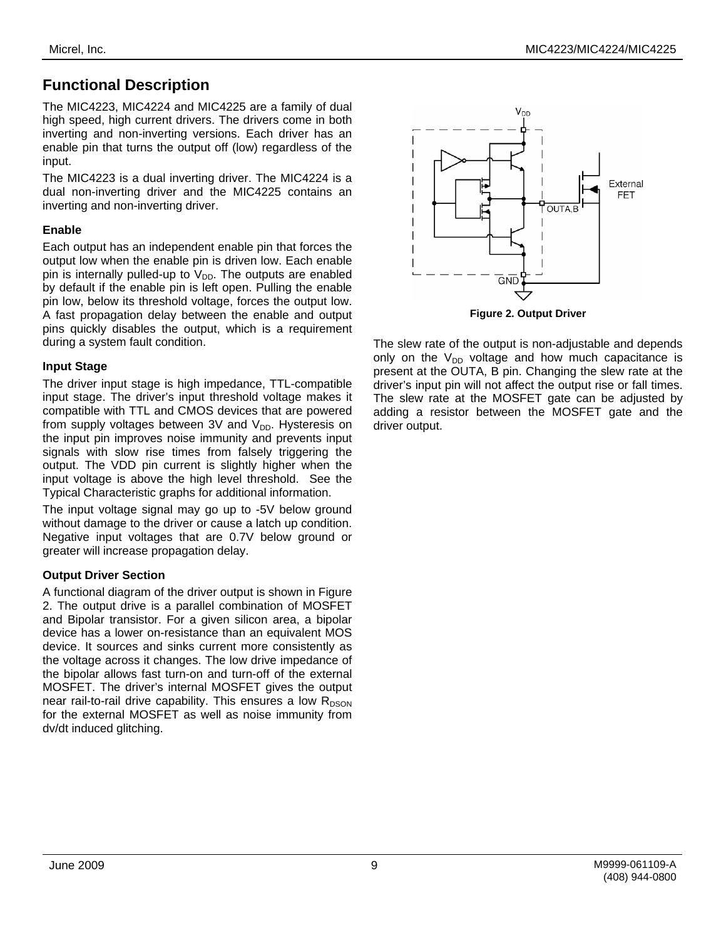### **Functional Description**

The MIC4223, MIC4224 and MIC4225 are a family of dual high speed, high current drivers. The drivers come in both inverting and non-inverting versions. Each driver has an enable pin that turns the output off (low) regardless of the input.

The MIC4223 is a dual inverting driver. The MIC4224 is a dual non-inverting driver and the MIC4225 contains an inverting and non-inverting driver.

#### **Enable**

Each output has an independent enable pin that forces the output low when the enable pin is driven low. Each enable pin is internally pulled-up to  $V_{DD}$ . The outputs are enabled by default if the enable pin is left open. Pulling the enable pin low, below its threshold voltage, forces the output low. A fast propagation delay between the enable and output pins quickly disables the output, which is a requirement during a system fault condition.

#### **Input Stage**

The driver input stage is high impedance, TTL-compatible input stage. The driver's input threshold voltage makes it compatible with TTL and CMOS devices that are powered from supply voltages between 3V and  $V_{DD}$ . Hysteresis on the input pin improves noise immunity and prevents input signals with slow rise times from falsely triggering the output. The VDD pin current is slightly higher when the input voltage is above the high level threshold. See the Typical Characteristic graphs for additional information.

The input voltage signal may go up to -5V below ground without damage to the driver or cause a latch up condition. Negative input voltages that are 0.7V below ground or greater will increase propagation delay.

#### **Output Driver Section**

A functional diagram of the driver output is shown in Figure 2. The output drive is a parallel combination of MOSFET and Bipolar transistor. For a given silicon area, a bipolar device has a lower on-resistance than an equivalent MOS device. It sources and sinks current more consistently as the voltage across it changes. The low drive impedance of the bipolar allows fast turn-on and turn-off of the external MOSFET. The driver's internal MOSFET gives the output near rail-to-rail drive capability. This ensures a low  $R_{DSON}$ for the external MOSFET as well as noise immunity from dv/dt induced glitching.



**Figure 2. Output Driver** 

The slew rate of the output is non-adjustable and depends only on the  $V_{DD}$  voltage and how much capacitance is present at the OUTA, B pin. Changing the slew rate at the driver's input pin will not affect the output rise or fall times. The slew rate at the MOSFET gate can be adjusted by adding a resistor between the MOSFET gate and the driver output.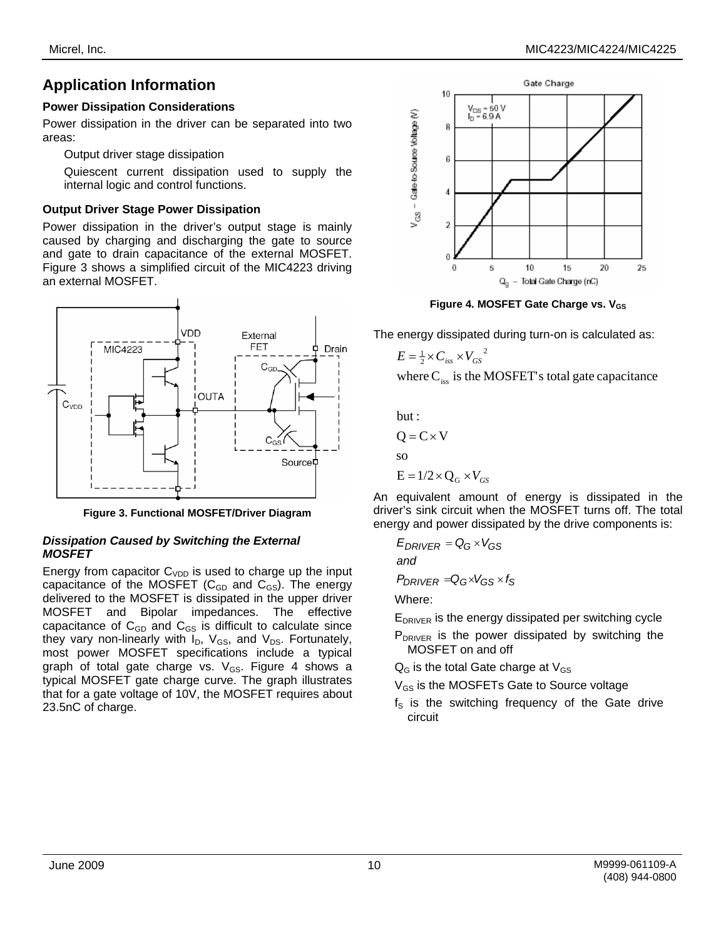Output driver stage dissipation

Quiescent current dissipation used to supply the internal logic and control functions.

#### **Output Driver Stage Power Dissipation**

Power dissipation in the driver's output stage is mainly caused by charging and discharging the gate to source and gate to drain capacitance of the external MOSFET. Figure 3 shows a simplified circuit of the MIC4223 driving an external MOSFET.



**Figure 3. Functional MOSFET/Driver Diagram** 

#### *Dissipation Caused by Switching the External MOSFET*

Energy from capacitor  $C_{VDD}$  is used to charge up the input capacitance of the MOSFET ( $C_{GD}$  and  $C_{GS}$ ). The energy delivered to the MOSFET is dissipated in the upper driver MOSFET and Bipolar impedances. The effective capacitance of  $C_{GD}$  and  $C_{GS}$  is difficult to calculate since they vary non-linearly with  $I_D$ ,  $V_{GS}$ , and  $V_{DS}$ . Fortunately, most power MOSFET specifications include a typical graph of total gate charge vs.  $V_{GS}$ . Figure 4 shows a typical MOSFET gate charge curve. The graph illustrates that for a gate voltage of 10V, the MOSFET requires about 23.5nC of charge.



**Figure 4. MOSFET Gate Charge vs. V<sub>GS</sub>** 

The energy dissipated during turn-on is calculated as:

$$
E = \frac{1}{2} \times C_{iss} \times V_{GS}^2
$$

where  $C_{\text{iss}}$  is the MOSFET's total gate capacitance

but:

$$
Q = C \times V
$$
  
so  

$$
E = 1/2 \times Q_G \times
$$

An equivalent amount of energy is dissipated in the driver's sink circuit when the MOSFET turns off. The total energy and power dissipated by the drive components is:

 $E_{DRIVER} = Q_G \times V_{GS}$ *and*

$$
P_{DRIVER} = Q_G \times V_{GS} \times f_S
$$

Where:

EDRIVER is the energy dissipated per switching cycle

P<sub>DRIVER</sub> is the power dissipated by switching the MOSFET on and off

 $Q<sub>G</sub>$  is the total Gate charge at  $V<sub>GS</sub>$ 

 $V_{GS}$ 

 $V_{GS}$  is the MOSFETs Gate to Source voltage

 $f<sub>S</sub>$  is the switching frequency of the Gate drive circuit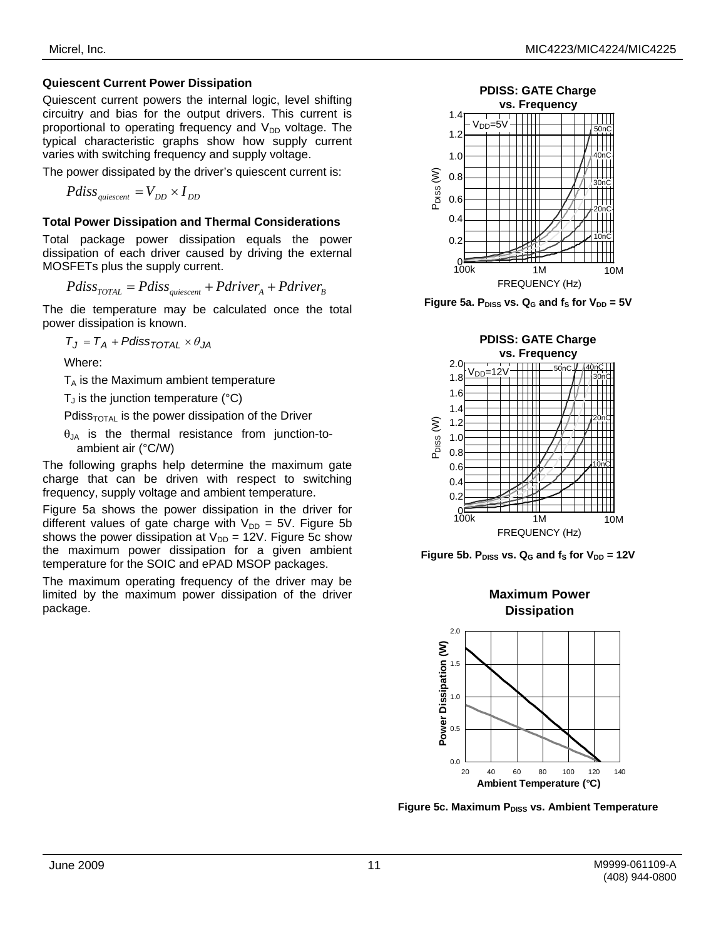Quiescent current powers the internal logic, level shifting circuitry and bias for the output drivers. This current is proportional to operating frequency and  $V_{DD}$  voltage. The typical characteristic graphs show how supply current varies with switching frequency and supply voltage.

The power dissipated by the driver's quiescent current is:

 $P diss_{\text{quiescent}} = V_{DD} \times I_{DD}$ 

#### **Total Power Dissipation and Thermal Considerations**

Total package power dissipation equals the power dissipation of each driver caused by driving the external MOSFETs plus the supply current.

$$
Pdiss_{\text{TOTAL}} = Pdiss_{\text{quiescent}} + Pdriver_A + Pdriver_B
$$

The die temperature may be calculated once the total power dissipation is known.

 $T_J = T_A + P$ diss<sub>TOTAL</sub>  $\times \theta_{JA}$ 

Where:

 $T_A$  is the Maximum ambient temperature

 $T_J$  is the junction temperature ( $\degree$ C)

Pdiss<sub>TOTAL</sub> is the power dissipation of the Driver

 $\theta_{JA}$  is the thermal resistance from junction-toambient air (°C/W)

The following graphs help determine the maximum gate charge that can be driven with respect to switching frequency, supply voltage and ambient temperature.

Figure 5a shows the power dissipation in the driver for different values of gate charge with  $V_{DD} = 5V$ . Figure 5b shows the power dissipation at  $V_{DD} = 12V$ . Figure 5c show the maximum power dissipation for a given ambient temperature for the SOIC and ePAD MSOP packages.

The maximum operating frequency of the driver may be limited by the maximum power dissipation of the driver package.





Figure 5a.  $P_{DISS}$  vs.  $Q_G$  and  $f_S$  for  $V_{DD} = 5V$ 



Figure 5b. P<sub>DISS</sub> vs.  $Q_G$  and  $f_S$  for  $V_{DD} = 12V$ 

**Maximum Power** 



**Figure 5c. Maximum PDISS VS. Ambient Temperature**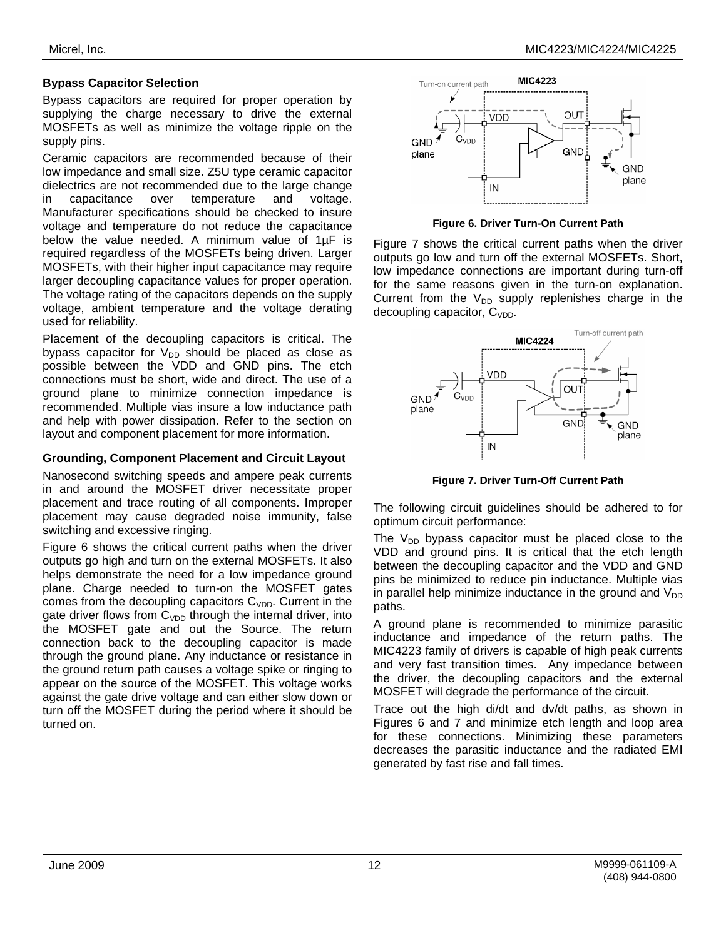#### **Bypass Capacitor Selection**

Bypass capacitors are required for proper operation by supplying the charge necessary to drive the external MOSFETs as well as minimize the voltage ripple on the supply pins.

Ceramic capacitors are recommended because of their low impedance and small size. Z5U type ceramic capacitor dielectrics are not recommended due to the large change in capacitance over temperature and voltage. Manufacturer specifications should be checked to insure voltage and temperature do not reduce the capacitance below the value needed. A minimum value of 1µF is required regardless of the MOSFETs being driven. Larger MOSFETs, with their higher input capacitance may require larger decoupling capacitance values for proper operation. The voltage rating of the capacitors depends on the supply voltage, ambient temperature and the voltage derating used for reliability.

Placement of the decoupling capacitors is critical. The bypass capacitor for  $V_{DD}$  should be placed as close as possible between the VDD and GND pins. The etch connections must be short, wide and direct. The use of a ground plane to minimize connection impedance is recommended. Multiple vias insure a low inductance path and help with power dissipation. Refer to the section on layout and component placement for more information.

#### **Grounding, Component Placement and Circuit Layout**

Nanosecond switching speeds and ampere peak currents in and around the MOSFET driver necessitate proper placement and trace routing of all components. Improper placement may cause degraded noise immunity, false switching and excessive ringing.

Figure 6 shows the critical current paths when the driver outputs go high and turn on the external MOSFETs. It also helps demonstrate the need for a low impedance ground plane. Charge needed to turn-on the MOSFET gates comes from the decoupling capacitors  $C_{VDD}$ . Current in the gate driver flows from  $C_{VDD}$  through the internal driver, into the MOSFET gate and out the Source. The return connection back to the decoupling capacitor is made through the ground plane. Any inductance or resistance in the ground return path causes a voltage spike or ringing to appear on the source of the MOSFET. This voltage works against the gate drive voltage and can either slow down or turn off the MOSFET during the period where it should be turned on.



**Figure 6. Driver Turn-On Current Path** 

Figure 7 shows the critical current paths when the driver outputs go low and turn off the external MOSFETs. Short, low impedance connections are important during turn-off for the same reasons given in the turn-on explanation. Current from the  $V_{DD}$  supply replenishes charge in the decoupling capacitor,  $C_{VDD}$ .



**Figure 7. Driver Turn-Off Current Path** 

The following circuit guidelines should be adhered to for optimum circuit performance:

The  $V_{DD}$  bypass capacitor must be placed close to the VDD and ground pins. It is critical that the etch length between the decoupling capacitor and the VDD and GND pins be minimized to reduce pin inductance. Multiple vias in parallel help minimize inductance in the ground and  $V_{DD}$ paths.

A ground plane is recommended to minimize parasitic inductance and impedance of the return paths. The MIC4223 family of drivers is capable of high peak currents and very fast transition times. Any impedance between the driver, the decoupling capacitors and the external MOSFET will degrade the performance of the circuit.

Trace out the high di/dt and dv/dt paths, as shown in Figures 6 and 7 and minimize etch length and loop area for these connections. Minimizing these parameters decreases the parasitic inductance and the radiated EMI generated by fast rise and fall times.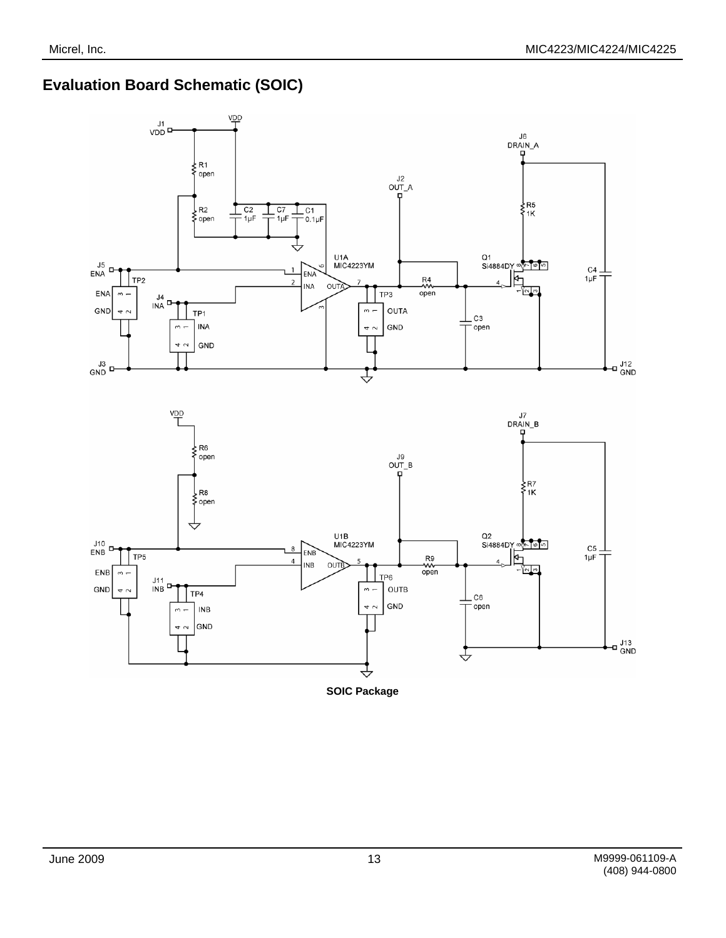### **Evaluation Board Schematic (SOIC)**



**SOIC Package**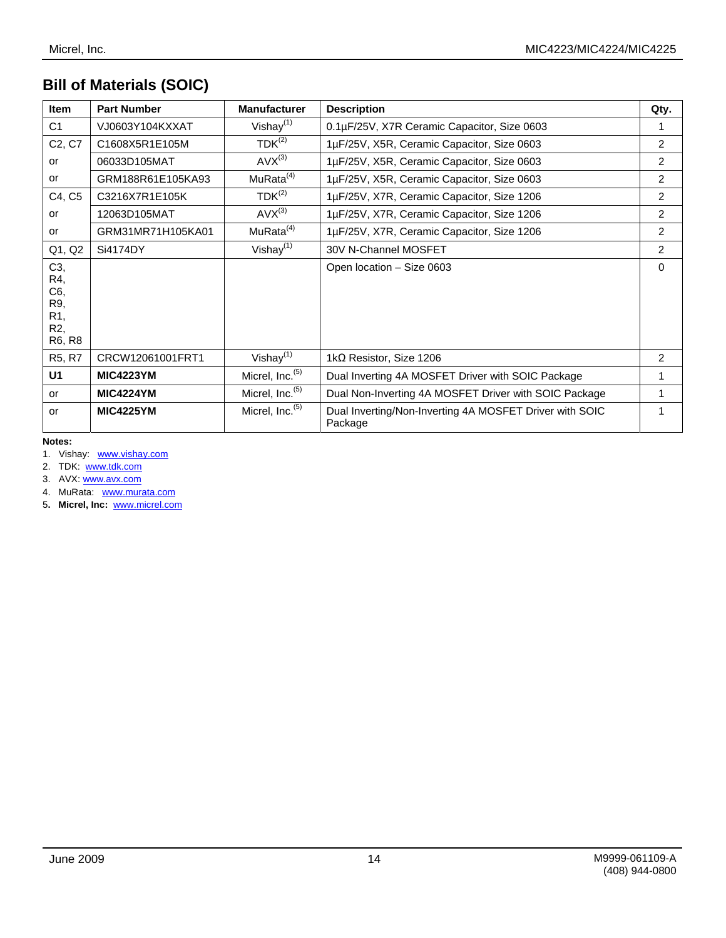# **Bill of Materials (SOIC)**

| <b>Item</b>                     | <b>Part Number</b> | <b>Manufacturer</b>         | <b>Description</b>                                                 | Qty.           |
|---------------------------------|--------------------|-----------------------------|--------------------------------------------------------------------|----------------|
| C <sub>1</sub>                  | VJ0603Y104KXXAT    | Vishay $(1)$                | 0.1µF/25V, X7R Ceramic Capacitor, Size 0603                        |                |
| C <sub>2</sub> , C <sub>7</sub> | C1608X5R1E105M     | $TDK^{(2)}$                 | 1µF/25V, X5R, Ceramic Capacitor, Size 0603                         | $\overline{2}$ |
| or                              | 06033D105MAT       | $AVX^{(3)}$                 | 1µF/25V, X5R, Ceramic Capacitor, Size 0603                         | 2              |
| or                              | GRM188R61E105KA93  | MuRata <sup>(4)</sup>       | 1µF/25V, X5R, Ceramic Capacitor, Size 0603                         | 2              |
| C4, C5                          | C3216X7R1E105K     | $TDK^{(2)}$                 | 1µF/25V, X7R, Ceramic Capacitor, Size 1206                         | 2              |
| or                              | 12063D105MAT       | $AVX^{(3)}$                 | 1µF/25V, X7R, Ceramic Capacitor, Size 1206                         | $\overline{2}$ |
| or                              | GRM31MR71H105KA01  | MuRata <sup>(4)</sup>       | 1µF/25V, X7R, Ceramic Capacitor, Size 1206                         | 2              |
| Q1, Q2                          | Si4174DY           | Vishay $(1)$                | 30V N-Channel MOSFET                                               | 2              |
| C3,<br>R4,                      |                    |                             | Open location - Size 0603                                          | $\Omega$       |
| C6,                             |                    |                             |                                                                    |                |
| R9,                             |                    |                             |                                                                    |                |
| R1,<br>R <sub>2</sub> ,         |                    |                             |                                                                    |                |
| R6, R8                          |                    |                             |                                                                    |                |
| R5, R7                          | CRCW12061001FRT1   | Vishay $(1)$                | 1k $\Omega$ Resistor, Size 1206                                    | 2              |
| U <sub>1</sub>                  | <b>MIC4223YM</b>   | Micrel, Inc. <sup>(5)</sup> | Dual Inverting 4A MOSFET Driver with SOIC Package                  |                |
| <b>or</b>                       | <b>MIC4224YM</b>   | Micrel, Inc. <sup>(5)</sup> | Dual Non-Inverting 4A MOSFET Driver with SOIC Package              |                |
| or                              | <b>MIC4225YM</b>   | Micrel, Inc. <sup>(5)</sup> | Dual Inverting/Non-Inverting 4A MOSFET Driver with SOIC<br>Package | 1              |

**Notes:** 

1. Vishay: www.vishay.com

2. TDK: www.tdk.com

3. AVX: www.avx.com

4. MuRata: www.murata.com

5**. Micrel, Inc:** www.micrel.com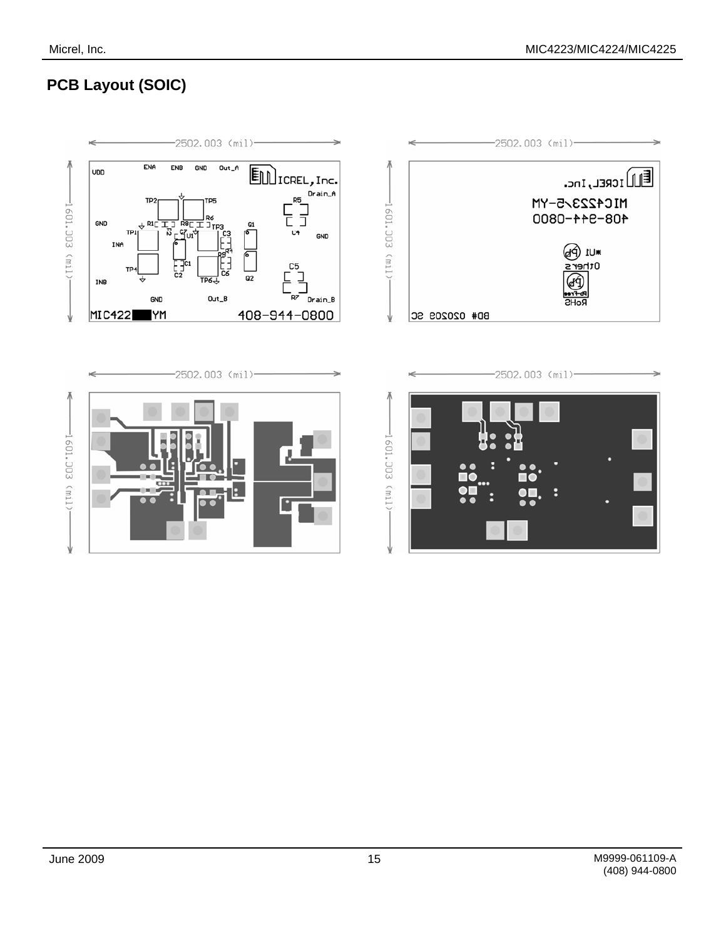# **PCB Layout (SOIC)**

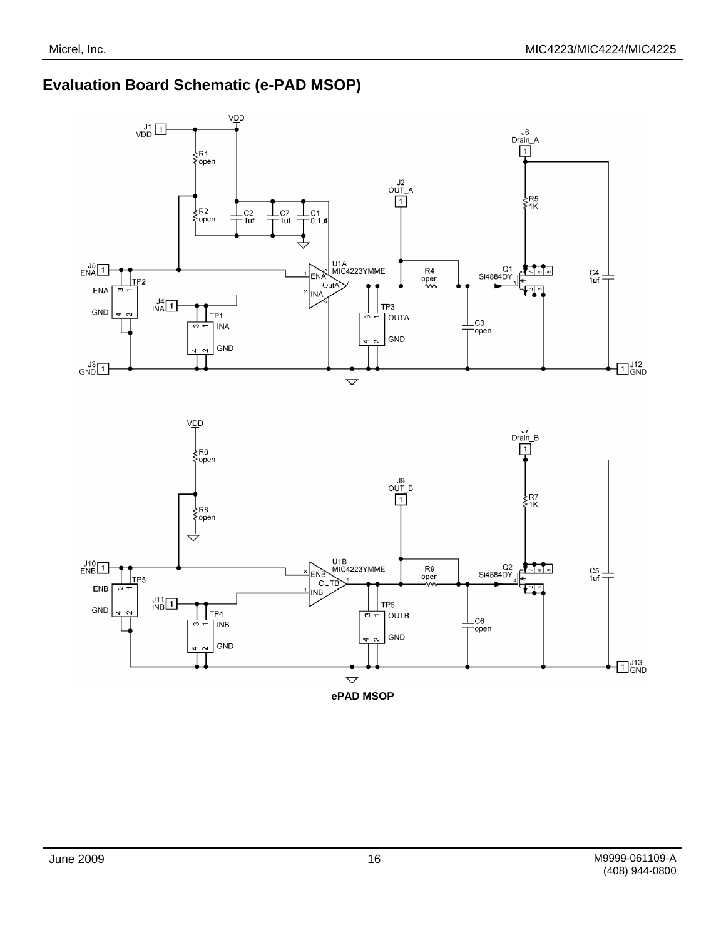### **Evaluation Board Schematic (e-PAD MSOP)**



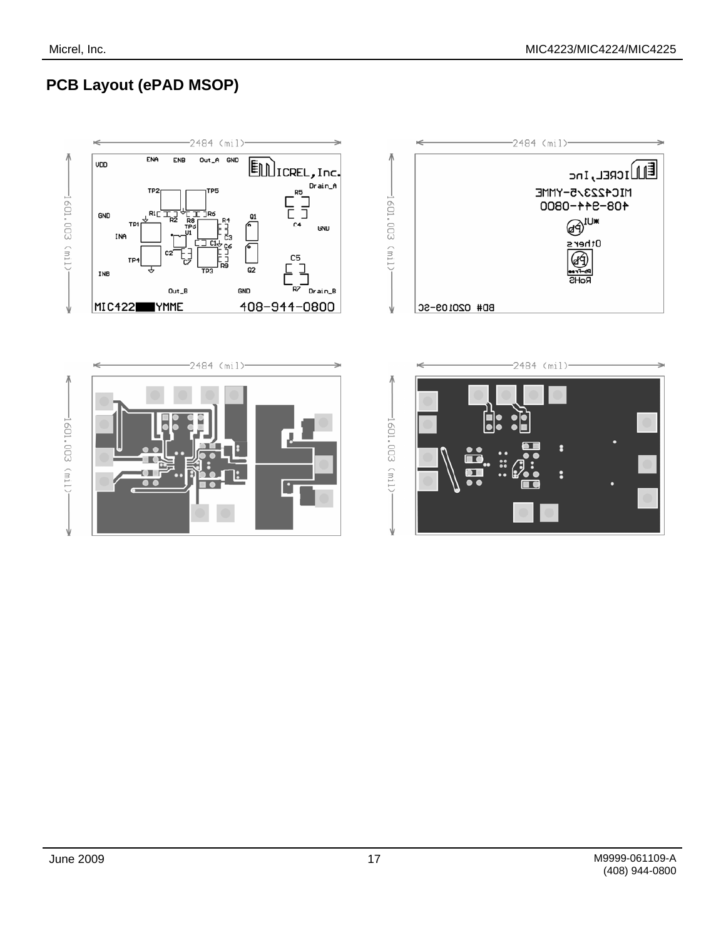# **PCB Layout (ePAD MSOP)**

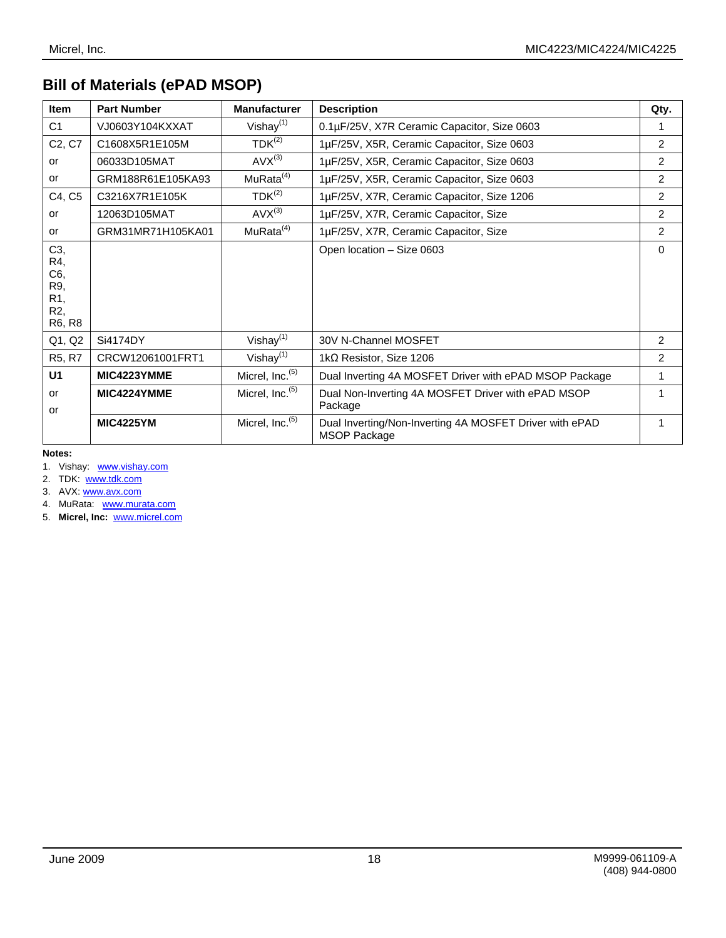# **Bill of Materials (ePAD MSOP)**

| <b>Item</b>                                      | <b>Part Number</b> | <b>Manufacturer</b>         | <b>Description</b>                                                             | Qty.           |
|--------------------------------------------------|--------------------|-----------------------------|--------------------------------------------------------------------------------|----------------|
| C <sub>1</sub>                                   | VJ0603Y104KXXAT    | Vishay $(1)$                | 0.1µF/25V, X7R Ceramic Capacitor, Size 0603                                    | 1              |
| C <sub>2</sub> , C <sub>7</sub>                  | C1608X5R1E105M     | $TDK^{(2)}$                 | 1µF/25V, X5R, Ceramic Capacitor, Size 0603                                     | 2              |
| or                                               | 06033D105MAT       | $AVX^{(3)}$                 | 1µF/25V, X5R, Ceramic Capacitor, Size 0603                                     | $\overline{2}$ |
| or                                               | GRM188R61E105KA93  | MuRata <sup>(4)</sup>       | 1µF/25V, X5R, Ceramic Capacitor, Size 0603                                     | $\overline{2}$ |
| C4, C5                                           | C3216X7R1E105K     | $TDK^{(2)}$                 | 1µF/25V, X7R, Ceramic Capacitor, Size 1206                                     | $\mathcal{P}$  |
| or                                               | 12063D105MAT       | $AVX^{(3)}$                 | 1µF/25V, X7R, Ceramic Capacitor, Size                                          | $\mathcal{P}$  |
| or                                               | GRM31MR71H105KA01  | MuRata <sup>(4)</sup>       | 1µF/25V, X7R, Ceramic Capacitor, Size                                          | $\overline{2}$ |
| C3,<br>R4,<br>C6,<br>R9,<br>R1,<br>R2,<br>R6, R8 |                    |                             | Open location - Size 0603                                                      | 0              |
| Q1, Q2                                           | Si4174DY           | Vishay $(1)$                | 30V N-Channel MOSFET                                                           | 2              |
| R <sub>5</sub> , R <sub>7</sub>                  | CRCW12061001FRT1   | Vishay $(1)$                | 1k $\Omega$ Resistor, Size 1206                                                | $\overline{2}$ |
| U <sub>1</sub>                                   | MIC4223YMME        | Micrel, Inc. <sup>(5)</sup> | Dual Inverting 4A MOSFET Driver with ePAD MSOP Package                         | 1              |
| or<br>or                                         | MIC4224YMME        | Micrel, Inc. <sup>(5)</sup> | Dual Non-Inverting 4A MOSFET Driver with ePAD MSOP<br>Package                  |                |
|                                                  | <b>MIC4225YM</b>   | Micrel, Inc. <sup>(5)</sup> | Dual Inverting/Non-Inverting 4A MOSFET Driver with ePAD<br><b>MSOP Package</b> | 1              |

**Notes:** 

1. Vishay: www.vishay.com

2. TDK: www.tdk.com

3. AVX: www.avx.com

4. MuRata: www.murata.com

5. **Micrel, Inc:** www.micrel.com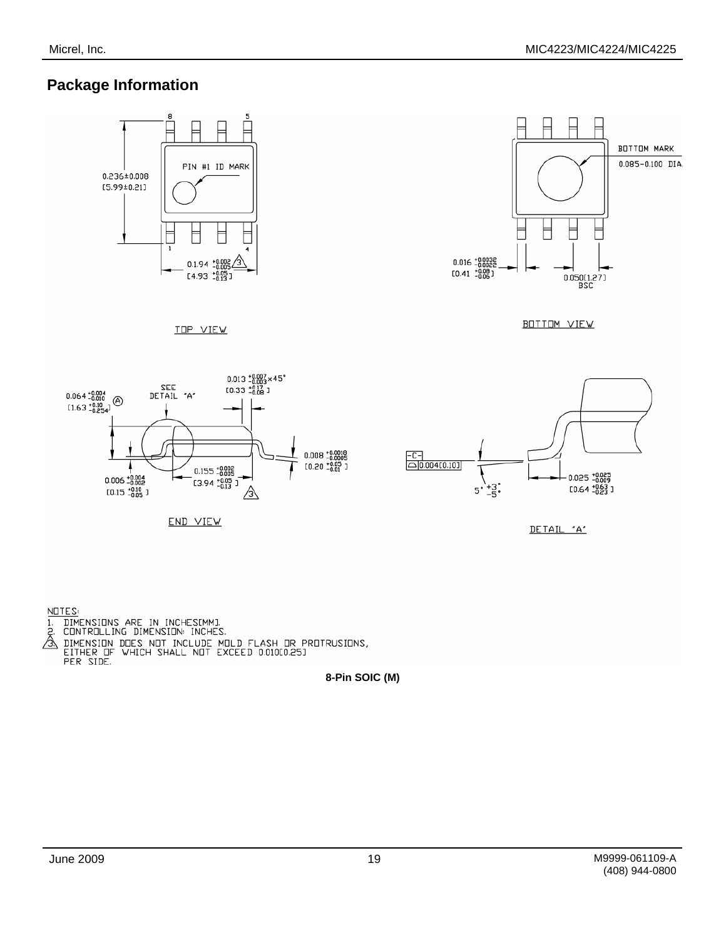### **Package Information**



NOTES:

- 
- 
- **8- FORE SET AND SOLUTIONS ARE IN INCHESTMENT**<br> **8. CONTROLLING DIMENSION:** INCHES.<br> **8. DIMENSION DOES NOT INCLUDE MOLD FLASH OR PROTRUSIONS,<br>
EITHER OF WHICH SHALL NOT EXCEED 0.01000.251<br>
PER SIDE.<br>
<b>8-Pin SOIC (M)** 
	-